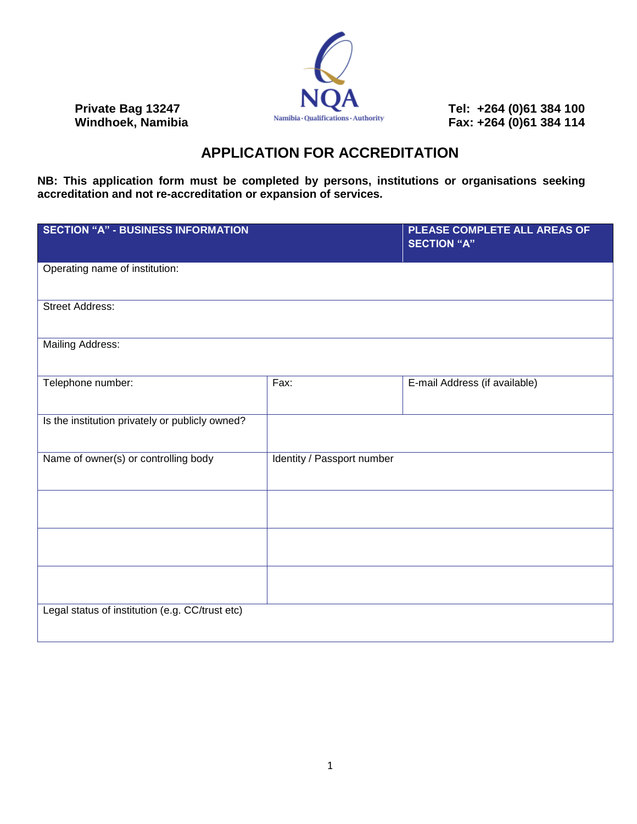

**Private Bag 13247** Tel: +264 (0)61 384 100<br>
Windhoek, Namibia **Private Constructions Authority** Fax: +264 (0)61 384 114 **Windhoek, Namibia Fax: +264 (0)61 384 114**

## **APPLICATION FOR ACCREDITATION**

**NB: This application form must be completed by persons, institutions or organisations seeking accreditation and not re-accreditation or expansion of services.**

| <b>SECTION "A" - BUSINESS INFORMATION</b>       |                            | PLEASE COMPLETE ALL AREAS OF<br><b>SECTION "A"</b> |
|-------------------------------------------------|----------------------------|----------------------------------------------------|
| Operating name of institution:                  |                            |                                                    |
| <b>Street Address:</b>                          |                            |                                                    |
| <b>Mailing Address:</b>                         |                            |                                                    |
| Telephone number:                               | Fax:                       | E-mail Address (if available)                      |
| Is the institution privately or publicly owned? |                            |                                                    |
| Name of owner(s) or controlling body            | Identity / Passport number |                                                    |
|                                                 |                            |                                                    |
|                                                 |                            |                                                    |
|                                                 |                            |                                                    |
| Legal status of institution (e.g. CC/trust etc) |                            |                                                    |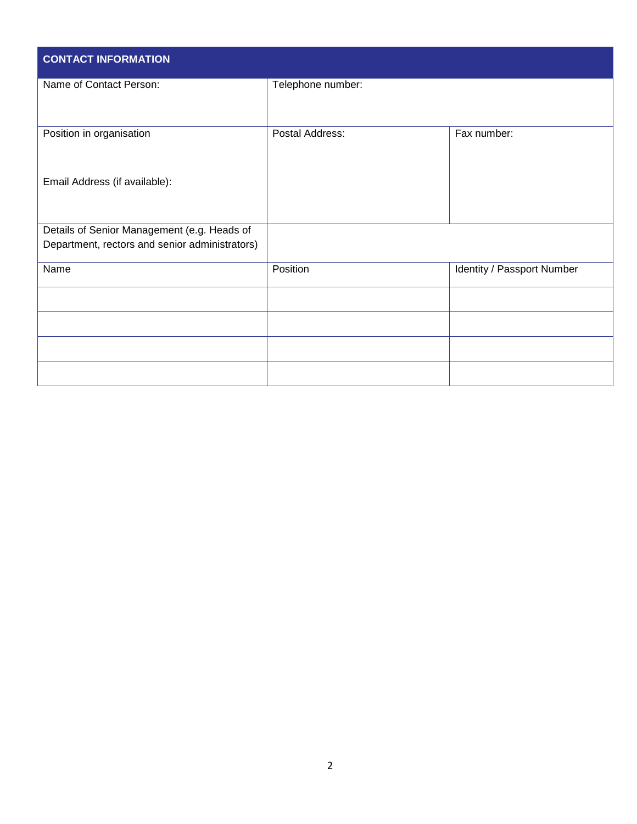| <b>CONTACT INFORMATION</b>                     |                   |                            |  |  |  |
|------------------------------------------------|-------------------|----------------------------|--|--|--|
| Name of Contact Person:                        | Telephone number: |                            |  |  |  |
| Position in organisation                       | Postal Address:   | Fax number:                |  |  |  |
| Email Address (if available):                  |                   |                            |  |  |  |
| Details of Senior Management (e.g. Heads of    |                   |                            |  |  |  |
| Department, rectors and senior administrators) |                   |                            |  |  |  |
| Name                                           | Position          | Identity / Passport Number |  |  |  |
|                                                |                   |                            |  |  |  |
|                                                |                   |                            |  |  |  |
|                                                |                   |                            |  |  |  |
|                                                |                   |                            |  |  |  |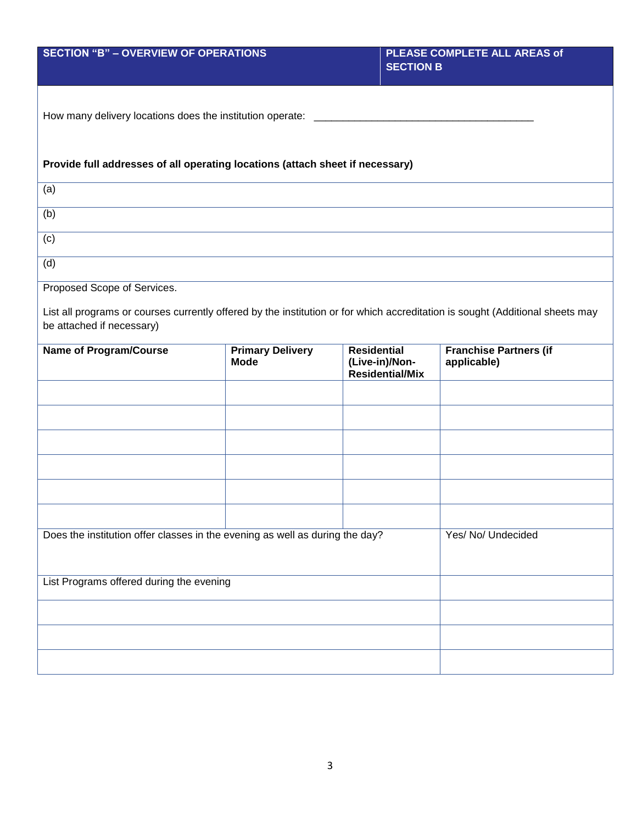| <b>SECTION "B" - OVERVIEW OF OPERATIONS</b>                                                                                                                                               |                                        | PLEASE COMPLETE ALL AREAS of<br><b>SECTION B</b> |                                          |                                              |  |  |  |
|-------------------------------------------------------------------------------------------------------------------------------------------------------------------------------------------|----------------------------------------|--------------------------------------------------|------------------------------------------|----------------------------------------------|--|--|--|
| How many delivery locations does the institution operate: ________                                                                                                                        |                                        |                                                  |                                          |                                              |  |  |  |
| Provide full addresses of all operating locations (attach sheet if necessary)                                                                                                             |                                        |                                                  |                                          |                                              |  |  |  |
| (a)                                                                                                                                                                                       |                                        |                                                  |                                          |                                              |  |  |  |
| (b)                                                                                                                                                                                       |                                        |                                                  |                                          |                                              |  |  |  |
| (c)                                                                                                                                                                                       |                                        |                                                  |                                          |                                              |  |  |  |
| (d)                                                                                                                                                                                       |                                        |                                                  |                                          |                                              |  |  |  |
| Proposed Scope of Services.<br>List all programs or courses currently offered by the institution or for which accreditation is sought (Additional sheets may<br>be attached if necessary) |                                        |                                                  |                                          |                                              |  |  |  |
| <b>Name of Program/Course</b>                                                                                                                                                             | <b>Primary Delivery</b><br><b>Mode</b> | <b>Residential</b>                               | (Live-in)/Non-<br><b>Residential/Mix</b> | <b>Franchise Partners (if</b><br>applicable) |  |  |  |
|                                                                                                                                                                                           |                                        |                                                  |                                          |                                              |  |  |  |
|                                                                                                                                                                                           |                                        |                                                  |                                          |                                              |  |  |  |
|                                                                                                                                                                                           |                                        |                                                  |                                          |                                              |  |  |  |
|                                                                                                                                                                                           |                                        |                                                  |                                          |                                              |  |  |  |
|                                                                                                                                                                                           |                                        |                                                  |                                          |                                              |  |  |  |
|                                                                                                                                                                                           |                                        |                                                  |                                          |                                              |  |  |  |
| Does the institution offer classes in the evening as well as during the day?                                                                                                              |                                        | Yes/ No/ Undecided                               |                                          |                                              |  |  |  |
| List Programs offered during the evening                                                                                                                                                  |                                        |                                                  |                                          |                                              |  |  |  |
|                                                                                                                                                                                           |                                        |                                                  |                                          |                                              |  |  |  |
|                                                                                                                                                                                           |                                        |                                                  |                                          |                                              |  |  |  |
|                                                                                                                                                                                           |                                        |                                                  |                                          |                                              |  |  |  |